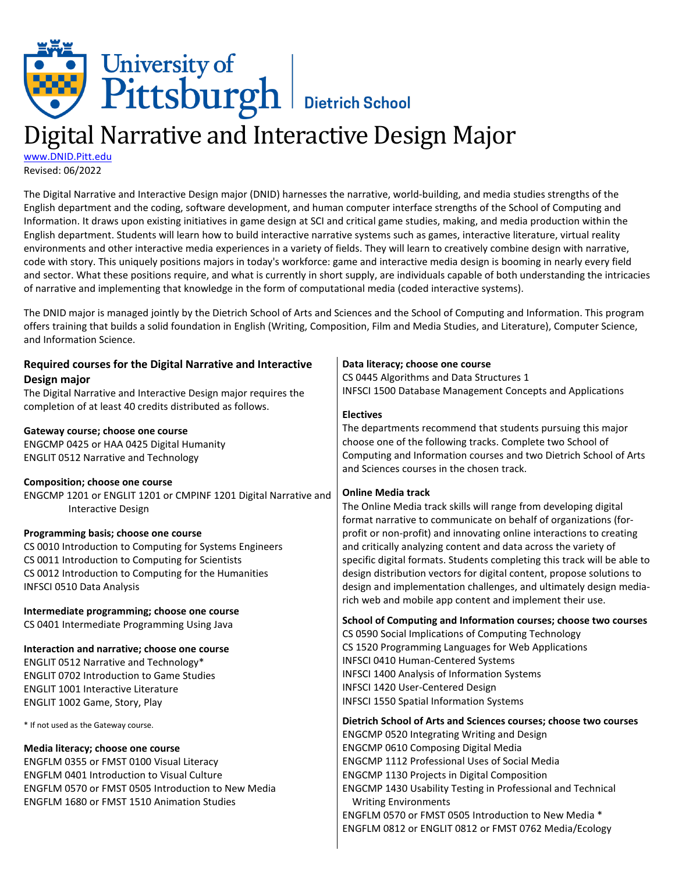# University of<br>Pittsburgh Bietrich School

# Digital Narrative and Interactive Design Major

[www.DNID.Pitt.edu](http://www.dnid.pitt.edu/) Revised: 06/2022

The Digital Narrative and Interactive Design major (DNID) harnesses the narrative, world-building, and media studies strengths of the English department and the coding, software development, and human computer interface strengths of the School of Computing and Information. It draws upon existing initiatives in game design at SCI and critical game studies, making, and media production within the English department. Students will learn how to build interactive narrative systems such as games, interactive literature, virtual reality environments and other interactive media experiences in a variety of fields. They will learn to creatively combine design with narrative, code with story. This uniquely positions majors in today's workforce: game and interactive media design is booming in nearly every field and sector. What these positions require, and what is currently in short supply, are individuals capable of both understanding the intricacies of narrative and implementing that knowledge in the form of computational media (coded interactive systems).

The DNID major is managed jointly by the Dietrich School of Arts and Sciences and the School of Computing and Information. This program offers training that builds a solid foundation in English (Writing, Composition, Film and Media Studies, and Literature), Computer Science, and Information Science.

| Required courses for the Digital Narrative and Interactive      | Data literacy; choose one course                                         |
|-----------------------------------------------------------------|--------------------------------------------------------------------------|
| Design major                                                    | CS 0445 Algorithms and Data Structures 1                                 |
| The Digital Narrative and Interactive Design major requires the | <b>INFSCI 1500 Database Management Concepts and Applications</b>         |
| completion of at least 40 credits distributed as follows.       |                                                                          |
|                                                                 | <b>Electives</b>                                                         |
| Gateway course; choose one course                               | The departments recommend that students pursuing this major              |
| ENGCMP 0425 or HAA 0425 Digital Humanity                        | choose one of the following tracks. Complete two School of               |
| <b>ENGLIT 0512 Narrative and Technology</b>                     | Computing and Information courses and two Dietrich School of Arts        |
|                                                                 | and Sciences courses in the chosen track.                                |
| <b>Composition; choose one course</b>                           | <b>Online Media track</b>                                                |
| ENGCMP 1201 or ENGLIT 1201 or CMPINF 1201 Digital Narrative and |                                                                          |
| <b>Interactive Design</b>                                       | The Online Media track skills will range from developing digital         |
|                                                                 | format narrative to communicate on behalf of organizations (for-         |
| Programming basis; choose one course                            | profit or non-profit) and innovating online interactions to creating     |
| CS 0010 Introduction to Computing for Systems Engineers         | and critically analyzing content and data across the variety of          |
| CS 0011 Introduction to Computing for Scientists                | specific digital formats. Students completing this track will be able to |
| CS 0012 Introduction to Computing for the Humanities            | design distribution vectors for digital content, propose solutions to    |
| <b>INFSCI 0510 Data Analysis</b>                                | design and implementation challenges, and ultimately design media-       |
| Intermediate programming; choose one course                     | rich web and mobile app content and implement their use.                 |
| CS 0401 Intermediate Programming Using Java                     | School of Computing and Information courses; choose two courses          |
|                                                                 | CS 0590 Social Implications of Computing Technology                      |
| Interaction and narrative; choose one course                    | CS 1520 Programming Languages for Web Applications                       |
| ENGLIT 0512 Narrative and Technology*                           | <b>INFSCI 0410 Human-Centered Systems</b>                                |
| <b>ENGLIT 0702 Introduction to Game Studies</b>                 | <b>INFSCI 1400 Analysis of Information Systems</b>                       |
| <b>ENGLIT 1001 Interactive Literature</b>                       | INFSCI 1420 User-Centered Design                                         |
| ENGLIT 1002 Game, Story, Play                                   | <b>INFSCI 1550 Spatial Information Systems</b>                           |
| * If not used as the Gateway course.                            | Dietrich School of Arts and Sciences courses; choose two courses         |
|                                                                 | ENGCMP 0520 Integrating Writing and Design                               |
| Media literacy; choose one course                               | <b>ENGCMP 0610 Composing Digital Media</b>                               |
| ENGFLM 0355 or FMST 0100 Visual Literacy                        | <b>ENGCMP 1112 Professional Uses of Social Media</b>                     |
| <b>ENGFLM 0401 Introduction to Visual Culture</b>               | <b>ENGCMP 1130 Projects in Digital Composition</b>                       |
| ENGFLM 0570 or FMST 0505 Introduction to New Media              | ENGCMP 1430 Usability Testing in Professional and Technical              |
| <b>ENGFLM 1680 or FMST 1510 Animation Studies</b>               | <b>Writing Environments</b>                                              |
|                                                                 | ENGFLM 0570 or FMST 0505 Introduction to New Media *                     |
|                                                                 | ENGFLM 0812 or ENGLIT 0812 or FMST 0762 Media/Ecology                    |